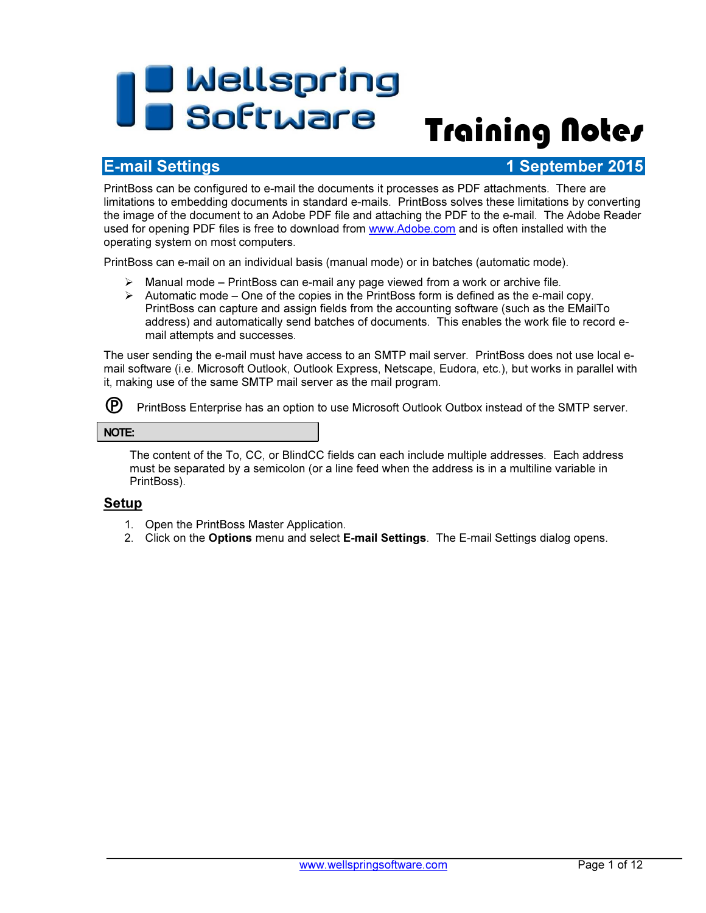# **The Mellspring<br>Training Notes**

# E-mail Settings 1 September 2015

PrintBoss can be configured to e-mail the documents it processes as PDF attachments. There are limitations to embedding documents in standard e-mails. PrintBoss solves these limitations by converting the image of the document to an Adobe PDF file and attaching the PDF to the e-mail. The Adobe Reader used for opening PDF files is free to download from www.Adobe.com and is often installed with the operating system on most computers.

PrintBoss can e-mail on an individual basis (manual mode) or in batches (automatic mode).

- $\triangleright$  Manual mode PrintBoss can e-mail any page viewed from a work or archive file.
- $\triangleright$  Automatic mode One of the copies in the PrintBoss form is defined as the e-mail copy. PrintBoss can capture and assign fields from the accounting software (such as the EMailTo address) and automatically send batches of documents. This enables the work file to record email attempts and successes.

The user sending the e-mail must have access to an SMTP mail server. PrintBoss does not use local email software (i.e. Microsoft Outlook, Outlook Express, Netscape, Eudora, etc.), but works in parallel with it, making use of the same SMTP mail server as the mail program.

 $(P)$  PrintBoss Enterprise has an option to use Microsoft Outlook Outbox instead of the SMTP server.

#### NOTE:

The content of the To, CC, or BlindCC fields can each include multiple addresses. Each address must be separated by a semicolon (or a line feed when the address is in a multiline variable in PrintBoss).

### Setup

- 1. Open the PrintBoss Master Application.
- 2. Click on the Options menu and select E-mail Settings. The E-mail Settings dialog opens.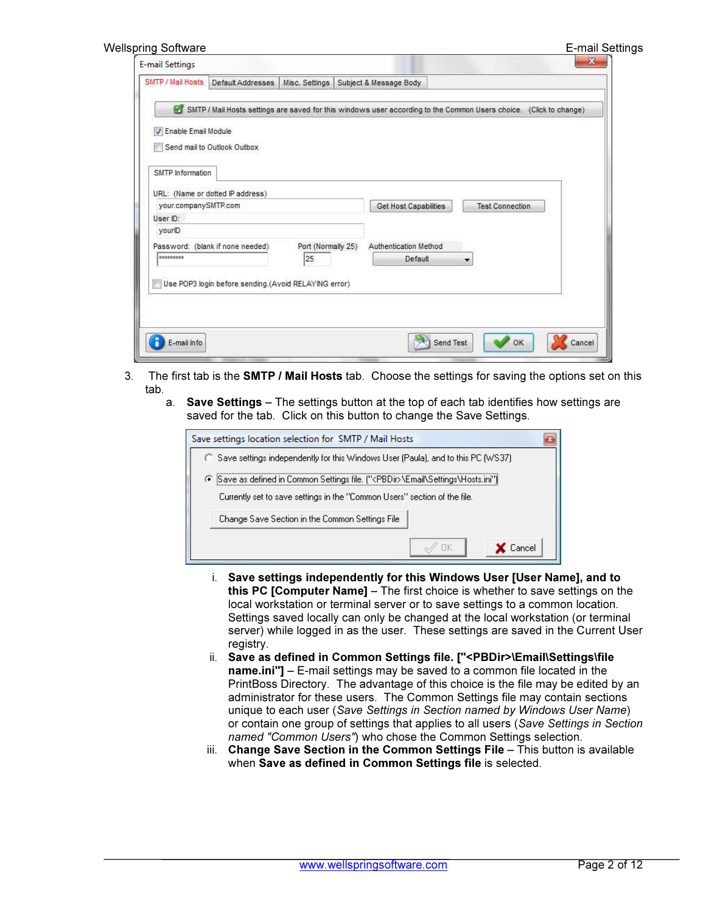| E-mail Settings |
|-----------------|
|                 |

| SMTP / Mail Hosts     | Default Addresses                                                                                                  |                    | Misc. Settings   Subject & Message Body |                        |  |
|-----------------------|--------------------------------------------------------------------------------------------------------------------|--------------------|-----------------------------------------|------------------------|--|
|                       | SMTP / Mail Hosts settings are saved for this windows user according to the Common Users choice. (Click to change) |                    |                                         |                        |  |
| V Enable Email Module | Send mail to Outlook Outbox                                                                                        |                    |                                         |                        |  |
| SMTP Information      | URL: (Name or dotted IP address)                                                                                   |                    |                                         |                        |  |
| your.companySMTP.com  |                                                                                                                    |                    | Get Host Capabilities                   | <b>Test Connection</b> |  |
| User ID:              |                                                                                                                    |                    |                                         |                        |  |
| yourlD.               |                                                                                                                    |                    |                                         |                        |  |
|                       | Password: (blank if none needed)                                                                                   | Port (Normally 25) | Authentication Method                   |                        |  |
| *********             |                                                                                                                    | 25                 | Default                                 | ▼                      |  |
|                       | Use POP3 login before sending.(Avoid RELAYING error)                                                               |                    |                                         |                        |  |

- 3. The first tab is the SMTP / Mail Hosts tab. Choose the settings for saving the options set on this tab.
	- a. Save Settings The settings button at the top of each tab identifies how settings are saved for the tab. Click on this button to change the Save Settings.

| Save settings location selection for SMTP / Mail Hosts                                                                                                                 |        |
|------------------------------------------------------------------------------------------------------------------------------------------------------------------------|--------|
| C Save settings independently for this Windows User (Paula), and to this PC (WS37).                                                                                    |        |
| 6 Save as defined in Common Settings file. (" <pbdir>\Email\Settings\Hosts.ini")<br/>Currently set to save settings in the "Common Users" section of the file.</pbdir> |        |
| Change Save Section in the Common Settings File                                                                                                                        |        |
|                                                                                                                                                                        | Cancel |

- i. Save settings independently for this Windows User [User Name], and to this PC [Computer Name] – The first choice is whether to save settings on the local workstation or terminal server or to save settings to a common location. Settings saved locally can only be changed at the local workstation (or terminal server) while logged in as the user. These settings are saved in the Current User registry.
- ii. Save as defined in Common Settings file. ["<PBDir>\Email\Settings\file name.ini"] – E-mail settings may be saved to a common file located in the PrintBoss Directory. The advantage of this choice is the file may be edited by an administrator for these users. The Common Settings file may contain sections unique to each user (Save Settings in Section named by Windows User Name) or contain one group of settings that applies to all users (Save Settings in Section named "Common Users") who chose the Common Settings selection.
- iii. Change Save Section in the Common Settings File This button is available when Save as defined in Common Settings file is selected.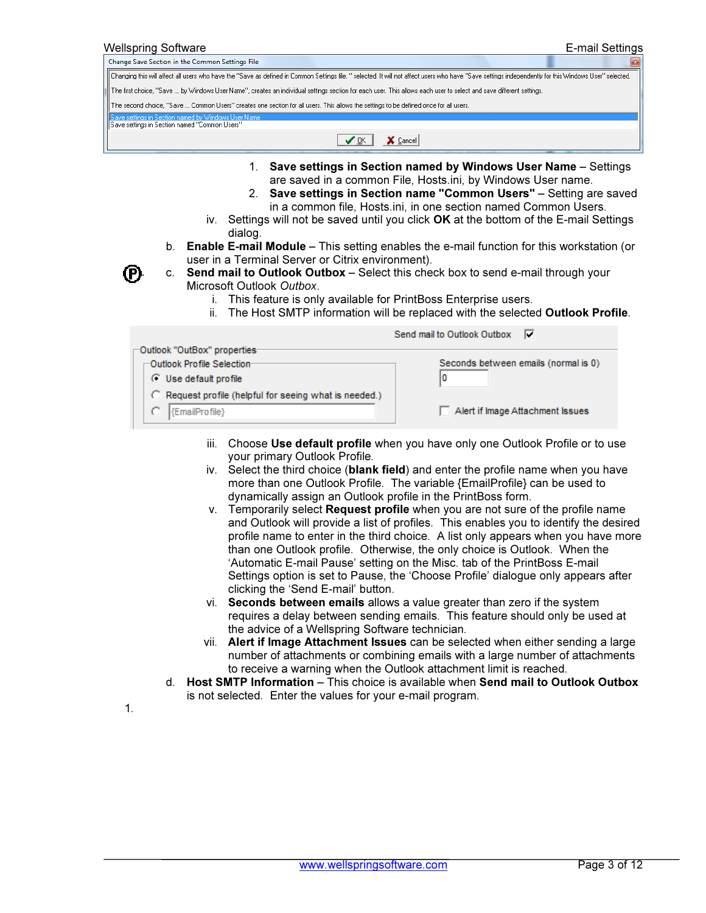| Wellspring Software                                                                                                                                                                                                                                                  | E-mail Settings                                                                                                                                                                                                                                                                                                                                                                                                                                                                                                                                           |
|----------------------------------------------------------------------------------------------------------------------------------------------------------------------------------------------------------------------------------------------------------------------|-----------------------------------------------------------------------------------------------------------------------------------------------------------------------------------------------------------------------------------------------------------------------------------------------------------------------------------------------------------------------------------------------------------------------------------------------------------------------------------------------------------------------------------------------------------|
| Change Save Section in the Common Settings File                                                                                                                                                                                                                      |                                                                                                                                                                                                                                                                                                                                                                                                                                                                                                                                                           |
| Changing this will affect all users who have the "Save as defined in Common Settings file. " selected. It will not affect users who have "Save settings independently for this Windows User" selected.                                                               |                                                                                                                                                                                                                                                                                                                                                                                                                                                                                                                                                           |
| The first choice, "Save  by Windows User Name", creates an individual settings section for each user. This allows each user to select and save different settings.                                                                                                   |                                                                                                                                                                                                                                                                                                                                                                                                                                                                                                                                                           |
| The second choice, "Save  Common Users" creates one section for all users. This allows the settings to be defined once for all users.                                                                                                                                |                                                                                                                                                                                                                                                                                                                                                                                                                                                                                                                                                           |
| iave settings in Section named by Windows User Name<br>Save settings in Section named "Common Users"                                                                                                                                                                 |                                                                                                                                                                                                                                                                                                                                                                                                                                                                                                                                                           |
| ✔ ፬K                                                                                                                                                                                                                                                                 | X Cancel                                                                                                                                                                                                                                                                                                                                                                                                                                                                                                                                                  |
| dialog.<br>b.<br>user in a Terminal Server or Citrix environment).<br>c. Send mail to Outlook Outbox - Select this check box to send e-mail through your<br>Microsoft Outlook Outbox.<br>This feature is only available for PrintBoss Enterprise users.<br>Ť.<br>ii. | 1. Save settings in Section named by Windows User Name - Settings<br>are saved in a common File, Hosts.ini, by Windows User name.<br>2. Save settings in Section name "Common Users" - Setting are saved<br>in a common file, Hosts.ini, in one section named Common Users.<br>iv. Settings will not be saved until you click OK at the bottom of the E-mail Settings<br><b>Enable E-mail Module</b> – This setting enables the e-mail function for this workstation (or<br>The Host SMTP information will be replaced with the selected Outlook Profile. |
|                                                                                                                                                                                                                                                                      | Send mail to Outlook Outbox<br>▿                                                                                                                                                                                                                                                                                                                                                                                                                                                                                                                          |
| Outlook "OutBox" properties-<br>Outlook Profile Selection:<br><b>C</b> Use default profile                                                                                                                                                                           | Seconds between emails (normal is 0)<br>10                                                                                                                                                                                                                                                                                                                                                                                                                                                                                                                |
| C Request profile (helpful for seeing what is needed.)                                                                                                                                                                                                               |                                                                                                                                                                                                                                                                                                                                                                                                                                                                                                                                                           |

Alert if Image Attachment Issues

- iii. Choose Use default profile when you have only one Outlook Profile or to use your primary Outlook Profile.
- iv. Select the third choice (blank field) and enter the profile name when you have more than one Outlook Profile. The variable {EmailProfile} can be used to dynamically assign an Outlook profile in the PrintBoss form.
- v. Temporarily select Request profile when you are not sure of the profile name and Outlook will provide a list of profiles. This enables you to identify the desired profile name to enter in the third choice. A list only appears when you have more than one Outlook profile. Otherwise, the only choice is Outlook. When the 'Automatic E-mail Pause' setting on the Misc. tab of the PrintBoss E-mail Settings option is set to Pause, the 'Choose Profile' dialogue only appears after clicking the 'Send E-mail' button.
- vi. Seconds between emails allows a value greater than zero if the system requires a delay between sending emails. This feature should only be used at the advice of a Wellspring Software technician.
- vii. Alert if Image Attachment Issues can be selected when either sending a large number of attachments or combining emails with a large number of attachments to receive a warning when the Outlook attachment limit is reached.
- d. Host SMTP Information This choice is available when Send mail to Outlook Outbox is not selected. Enter the values for your e-mail program.

1.

{EmailProfile}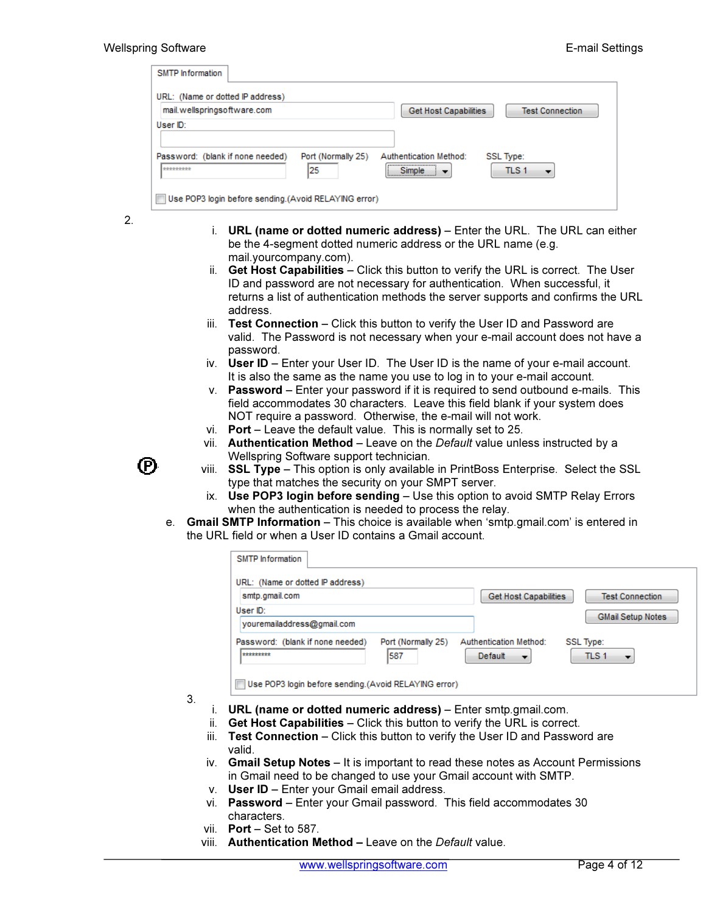| <b>SMTP</b> Information                                |                                                        |
|--------------------------------------------------------|--------------------------------------------------------|
| URL: (Name or dotted IP address)                       |                                                        |
| mail.wellspringsoftware.com                            | <b>Get Host Capabilities</b><br><b>Test Connection</b> |
| User ID:                                               |                                                        |
|                                                        |                                                        |
| Password: (blank if none needed)<br>Port (Normally 25) | Authentication Method:<br>SSL Type:                    |
| 125<br>*********                                       | TLS <sub>1</sub><br><b>Simple</b>                      |
|                                                        |                                                        |
| Use POP3 login before sending.(Avoid RELAYING error)   |                                                        |

- 2.
- i. URL (name or dotted numeric address) Enter the URL. The URL can either be the 4-segment dotted numeric address or the URL name (e.g. mail.yourcompany.com).
- ii. Get Host Capabilities Click this button to verify the URL is correct. The User ID and password are not necessary for authentication. When successful, it returns a list of authentication methods the server supports and confirms the URL address.
- iii. Test Connection Click this button to verify the User ID and Password are valid. The Password is not necessary when your e-mail account does not have a password.
- iv. User ID Enter your User ID. The User ID is the name of your e-mail account. It is also the same as the name you use to log in to your e-mail account.
- v. Password Enter your password if it is required to send outbound e-mails. This field accommodates 30 characters. Leave this field blank if your system does NOT require a password. Otherwise, the e-mail will not work.
- vi. Port Leave the default value. This is normally set to 25.
- vii. Authentication Method Leave on the Default value unless instructed by a Wellspring Software support technician.
- (P)
- viii. SSL Type This option is only available in PrintBoss Enterprise. Select the SSL type that matches the security on your SMPT server.
- ix. Use POP3 login before sending Use this option to avoid SMTP Relay Errors when the authentication is needed to process the relay.
- e. Gmail SMTP Information This choice is available when 'smtp.gmail.com' is entered in the URL field or when a User ID contains a Gmail account.

| <b>SMTP</b> Information                              |                           |                                                |                                      |
|------------------------------------------------------|---------------------------|------------------------------------------------|--------------------------------------|
| URL: (Name or dotted IP address)                     |                           |                                                |                                      |
| smtp.gmail.com                                       |                           | <b>Get Host Capabilities</b>                   | <b>Test Connection</b>               |
| User ID:                                             |                           |                                                | <b>GMail Setup Notes</b>             |
| vouremailaddress@gmail.com                           |                           |                                                |                                      |
| Password: (blank if none needed)<br>*********        | Port (Normally 25)<br>587 | Authentication Method:<br>Default<br>$\bullet$ | <b>SSL Type:</b><br>TLS <sub>1</sub> |
| Use POP3 login before sending.(Avoid RELAYING error) |                           |                                                |                                      |

- 3.
- i. URL (name or dotted numeric address) Enter smtp.gmail.com.
- ii. Get Host Capabilities Click this button to verify the URL is correct.
- iii. Test Connection Click this button to verify the User ID and Password are valid.
- iv. Gmail Setup Notes It is important to read these notes as Account Permissions in Gmail need to be changed to use your Gmail account with SMTP.
- v. User ID Enter your Gmail email address.
- vi. Password Enter your Gmail password. This field accommodates 30 characters.
- vii.  $Port Set to 587$ .
- viii. Authentication Method Leave on the Default value.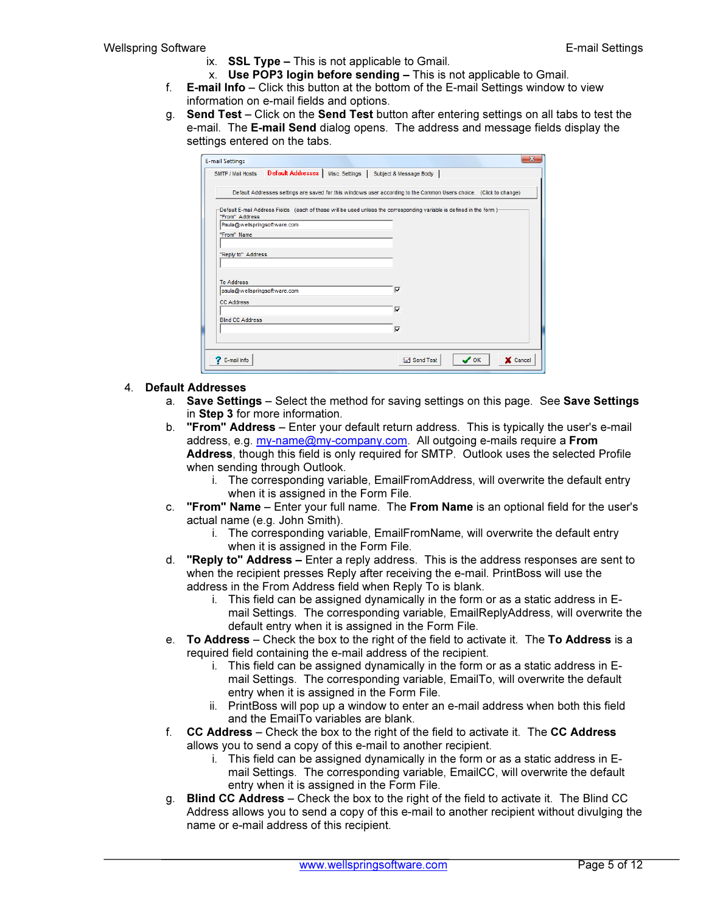- ix. SSL Type This is not applicable to Gmail.
- x. Use POP3 login before sending This is not applicable to Gmail.
- f.  $E$ -mail Info Click this button at the bottom of the  $E$ -mail Settings window to view information on e-mail fields and options.
- g. Send Test Click on the Send Test button after entering settings on all tabs to test the e-mail. The E-mail Send dialog opens. The address and message fields display the settings entered on the tabs.

| <b>E-mail Settings</b>       |  |                                                                                                                      |                  | $\mathbf{x}$ |
|------------------------------|--|----------------------------------------------------------------------------------------------------------------------|------------------|--------------|
| SMTP / Mail Hosts            |  | Default Addresses   Misc. Settings   Subject & Message Body                                                          |                  |              |
|                              |  | Default Addresses settings are saved for this windows user according to the Common Users choice. (Click to change)   |                  |              |
| "From" Address               |  | -Default E-mail Address Fields (each of these will be used unless the corresponding variable is defined in the form) |                  |              |
| Paula@wellspringsoftware.com |  |                                                                                                                      |                  |              |
| "From" Name                  |  |                                                                                                                      |                  |              |
|                              |  |                                                                                                                      |                  |              |
| "Reply to" Address           |  |                                                                                                                      |                  |              |
|                              |  |                                                                                                                      |                  |              |
|                              |  |                                                                                                                      |                  |              |
| <b>To Address</b>            |  |                                                                                                                      |                  |              |
| paula@wellspringsoftware.com |  | $\overline{\mathbf{v}}$                                                                                              |                  |              |
| <b>CC Address</b>            |  |                                                                                                                      |                  |              |
|                              |  | ⊽                                                                                                                    |                  |              |
| <b>Blind CC Address</b>      |  |                                                                                                                      |                  |              |
|                              |  | $\overline{\mathbf{v}}$                                                                                              |                  |              |
|                              |  |                                                                                                                      |                  |              |
|                              |  |                                                                                                                      |                  |              |
| <b>7</b> E-mail Info         |  | $\Box$ Send Test                                                                                                     | $\mathcal{S}$ ok | X Cancel     |
|                              |  |                                                                                                                      |                  |              |

#### 4. Default Addresses

- a. Save Settings Select the method for saving settings on this page. See Save Settings in Step 3 for more information.
- b. "From" Address Enter your default return address. This is typically the user's e-mail address, e.g. my-name@my-company.com. All outgoing e-mails require a From Address, though this field is only required for SMTP. Outlook uses the selected Profile when sending through Outlook.
	- i. The corresponding variable, EmailFromAddress, will overwrite the default entry when it is assigned in the Form File.
- c. "From" Name Enter your full name. The From Name is an optional field for the user's actual name (e.g. John Smith).
	- i. The corresponding variable, EmailFromName, will overwrite the default entry when it is assigned in the Form File.
- d. "Reply to" Address  $-$  Enter a reply address. This is the address responses are sent to when the recipient presses Reply after receiving the e-mail. PrintBoss will use the address in the From Address field when Reply To is blank.
	- i. This field can be assigned dynamically in the form or as a static address in Email Settings. The corresponding variable, EmailReplyAddress, will overwrite the default entry when it is assigned in the Form File.
- e. To Address Check the box to the right of the field to activate it. The To Address is a required field containing the e-mail address of the recipient.
	- i. This field can be assigned dynamically in the form or as a static address in Email Settings. The corresponding variable, EmailTo, will overwrite the default entry when it is assigned in the Form File.
	- ii. PrintBoss will pop up a window to enter an e-mail address when both this field and the EmailTo variables are blank.
- f. CC Address Check the box to the right of the field to activate it. The CC Address allows you to send a copy of this e-mail to another recipient.
	- i. This field can be assigned dynamically in the form or as a static address in Email Settings. The corresponding variable, EmailCC, will overwrite the default entry when it is assigned in the Form File.
- g. Blind CC Address Check the box to the right of the field to activate it. The Blind CC Address allows you to send a copy of this e-mail to another recipient without divulging the name or e-mail address of this recipient.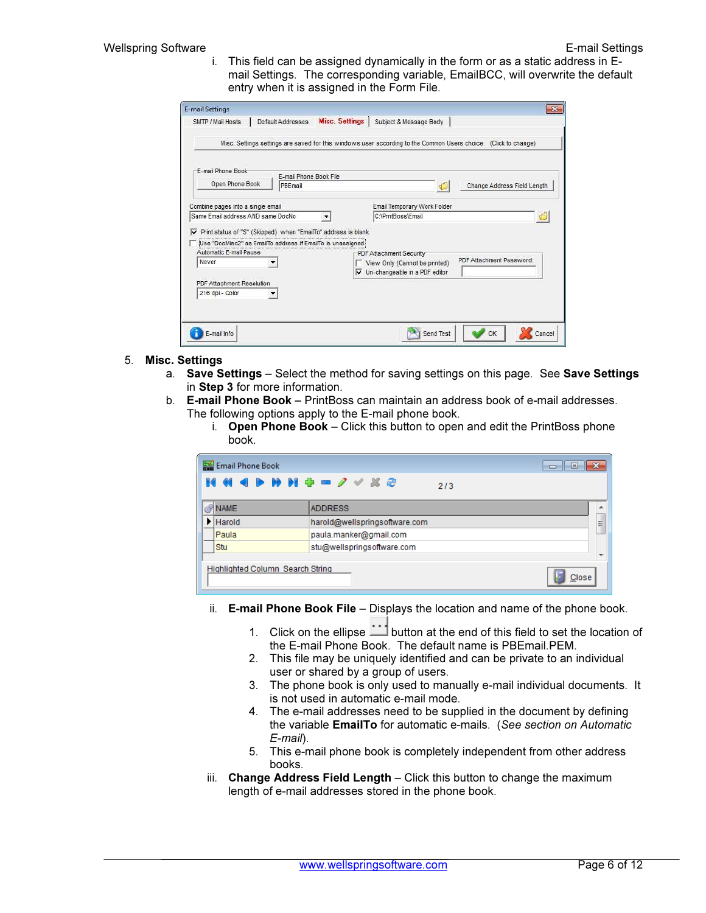i. This field can be assigned dynamically in the form or as a static address in Email Settings. The corresponding variable, EmailBCC, will overwrite the default entry when it is assigned in the Form File.

| E-mail Phone Book                 |                                                                |                                                                     |                             |
|-----------------------------------|----------------------------------------------------------------|---------------------------------------------------------------------|-----------------------------|
|                                   | E-mail Phone Book File                                         |                                                                     |                             |
| Open Phone Book                   | PBEmail                                                        |                                                                     | Change Address Field Length |
| Combine pages into a single email |                                                                | Email Temporary Work Folder                                         |                             |
| Same Email address AND same DocNo |                                                                | C:\PrntBoss\Email                                                   |                             |
| ⊽                                 | Print status of "S" (Skipped) when "EmailTo" address is blank. |                                                                     |                             |
| Automatic F-mail Pause<br>Never   | Use "DocMisc2" as EmailTo address if EmailTo is unassigned     | PDF Attachment Security                                             | PDF Attachment Password:    |
|                                   |                                                                | View Only (Cannot be printed)<br>Un-changeable in a PDF editor<br>M |                             |

- 5. Misc. Settings
	- a. Save Settings Select the method for saving settings on this page. See Save Settings in Step 3 for more information.
	- b. E-mail Phone Book PrintBoss can maintain an address book of e-mail addresses. The following options apply to the E-mail phone book.
		- i. Open Phone Book Click this button to open and edit the PrintBoss phone book.

| E Email Phone Book               | <del>.</del> 10               |   |
|----------------------------------|-------------------------------|---|
| <b>MM4DHH+-2VX2</b>              | 2/3                           |   |
| <b>NAME</b>                      | <b>ADDRESS</b>                |   |
| $\blacktriangleright$ Harold     | harold@wellspringsoftware.com | Ξ |
| Paula                            | paula.manker@gmail.com        |   |
| Stu                              | stu@wellspringsoftware.com    |   |
|                                  |                               |   |
| Highlighted Column Search String | Close                         |   |

- ii. E-mail Phone Book File Displays the location and name of the phone book.
	- 1. Click on the ellipse **button at the end of this field to set the location of** the E-mail Phone Book. The default name is PBEmail.PEM.
	- 2. This file may be uniquely identified and can be private to an individual user or shared by a group of users.
	- 3. The phone book is only used to manually e-mail individual documents. It is not used in automatic e-mail mode.
	- 4. The e-mail addresses need to be supplied in the document by defining the variable **EmailTo** for automatic e-mails. (See section on Automatic E-mail).
	- 5. This e-mail phone book is completely independent from other address books.
- iii. Change Address Field Length Click this button to change the maximum length of e-mail addresses stored in the phone book.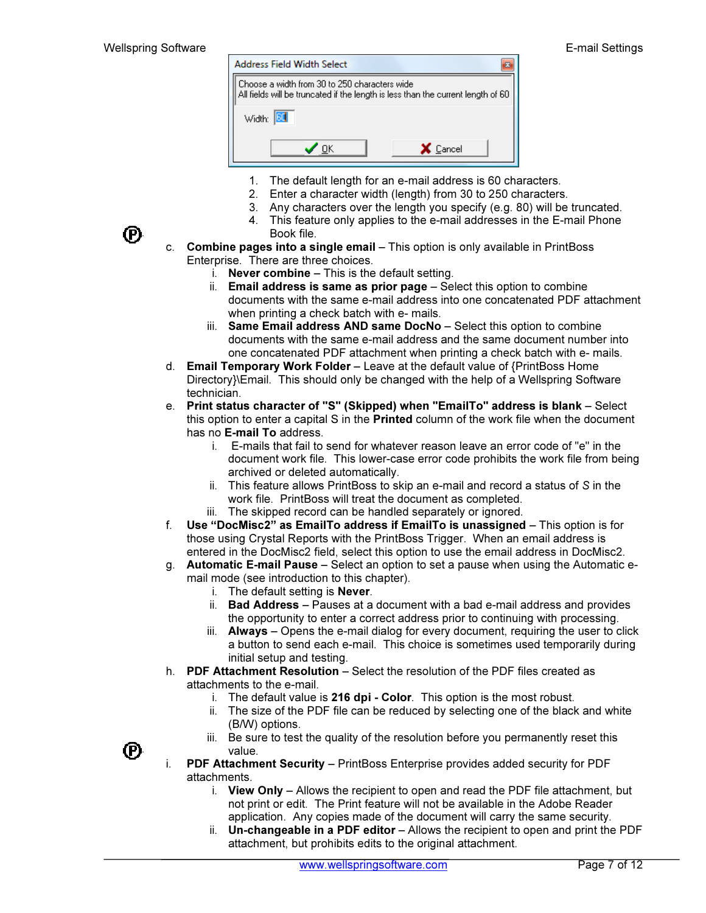

- 1. The default length for an e-mail address is 60 characters.
- 2. Enter a character width (length) from 30 to 250 characters.
- 3. Any characters over the length you specify (e.g. 80) will be truncated.
- 4. This feature only applies to the e-mail addresses in the E-mail Phone Book file.
- c. Combine pages into a single email This option is only available in PrintBoss Enterprise. There are three choices.
	- i. **Never combine**  $-$  This is the default setting.
	- ii. Email address is same as prior page Select this option to combine documents with the same e-mail address into one concatenated PDF attachment when printing a check batch with e- mails.
	- iii. Same Email address AND same DocNo Select this option to combine documents with the same e-mail address and the same document number into one concatenated PDF attachment when printing a check batch with e- mails.
- d. Email Temporary Work Folder Leave at the default value of {PrintBoss Home Directory}\Email. This should only be changed with the help of a Wellspring Software technician.
- e. Print status character of "S" (Skipped) when "EmailTo" address is blank Select this option to enter a capital S in the Printed column of the work file when the document has no E-mail To address.
	- i. E-mails that fail to send for whatever reason leave an error code of "e" in the document work file. This lower-case error code prohibits the work file from being archived or deleted automatically.
	- ii. This feature allows PrintBoss to skip an e-mail and record a status of S in the work file. PrintBoss will treat the document as completed.
	- iii. The skipped record can be handled separately or ignored.
- f. Use "DocMisc2" as EmailTo address if EmailTo is unassigned This option is for those using Crystal Reports with the PrintBoss Trigger. When an email address is entered in the DocMisc2 field, select this option to use the email address in DocMisc2.
- g. Automatic E-mail Pause Select an option to set a pause when using the Automatic email mode (see introduction to this chapter).
	- i. The default setting is Never.
	- ii. Bad Address Pauses at a document with a bad e-mail address and provides the opportunity to enter a correct address prior to continuing with processing.
	- iii. **Always** Opens the e-mail dialog for every document, requiring the user to click a button to send each e-mail. This choice is sometimes used temporarily during initial setup and testing.
- h. PDF Attachment Resolution Select the resolution of the PDF files created as attachments to the e-mail.
	- i. The default value is 216 dpi Color. This option is the most robust.
	- ii. The size of the PDF file can be reduced by selecting one of the black and white (B/W) options.
	- iii. Be sure to test the quality of the resolution before you permanently reset this value.
- i. PDF Attachment Security PrintBoss Enterprise provides added security for PDF attachments.
	- i. View Only Allows the recipient to open and read the PDF file attachment, but not print or edit. The Print feature will not be available in the Adobe Reader application. Any copies made of the document will carry the same security.
	- ii. **Un-changeable in a PDF editor**  $-$  Allows the recipient to open and print the PDF attachment, but prohibits edits to the original attachment.



M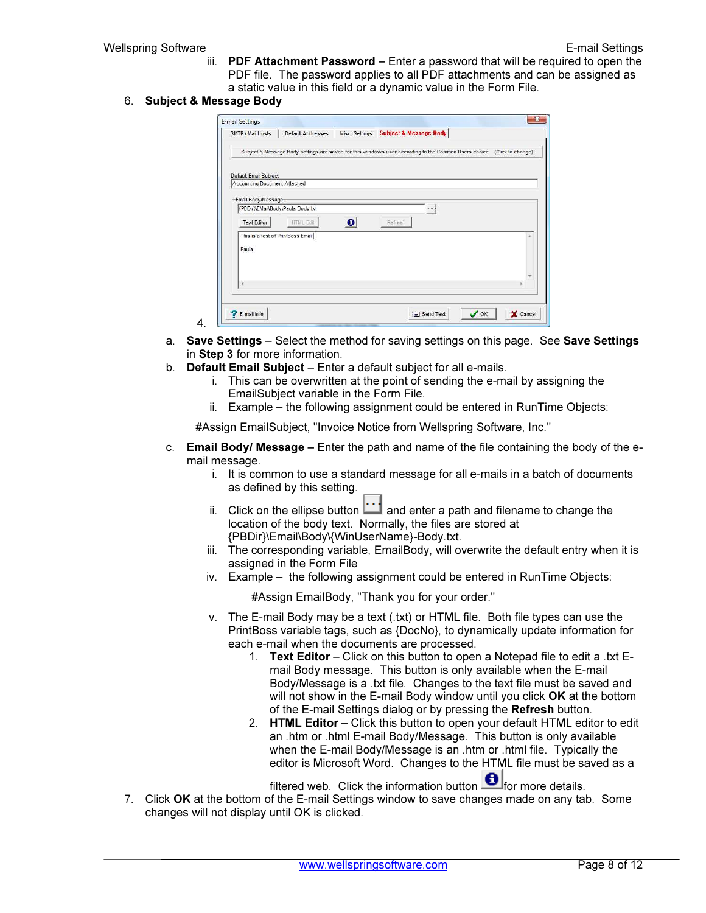iii. PDF Attachment Password – Enter a password that will be required to open the PDF file. The password applies to all PDF attachments and can be assigned as a static value in this field or a dynamic value in the Form File.

#### 6. Subject & Message Body

4.

| SMTP / Mail Hosts                  | Default Addresses                                                                                                       | Misc. Settings | <b>Subject &amp; Message Body</b> |                     |   |
|------------------------------------|-------------------------------------------------------------------------------------------------------------------------|----------------|-----------------------------------|---------------------|---|
|                                    | Subject & Message Body settings are saved for this windows user according to the Common Users choice. (Click to change) |                |                                   |                     |   |
| Default Email Subject              |                                                                                                                         |                |                                   |                     |   |
| Accounting Document Attached       |                                                                                                                         |                |                                   |                     |   |
| Email Body/Message                 |                                                                                                                         |                |                                   |                     |   |
| {PBDir}\EMail\Body\Paula-Body.txt  |                                                                                                                         |                |                                   | $\cdot \cdot \cdot$ |   |
| <b>Text Editor</b>                 | <b>HTML Edit</b>                                                                                                        | $\bullet$      | Refresh                           |                     |   |
| This is a test of PrintBoss Email. |                                                                                                                         |                |                                   |                     | × |
| Paula                              |                                                                                                                         |                |                                   |                     |   |
|                                    |                                                                                                                         |                |                                   |                     |   |
|                                    |                                                                                                                         |                |                                   |                     |   |
|                                    |                                                                                                                         |                |                                   |                     |   |
| Q                                  |                                                                                                                         |                |                                   |                     |   |
|                                    |                                                                                                                         |                |                                   |                     |   |

- a. Save Settings Select the method for saving settings on this page. See Save Settings in Step 3 for more information.
- b. Default Email Subject Enter a default subject for all e-mails.
	- i. This can be overwritten at the point of sending the e-mail by assigning the EmailSubject variable in the Form File.
	- ii. Example the following assignment could be entered in RunTime Objects:

#Assign EmailSubject, "Invoice Notice from Wellspring Software, Inc."

- c. **Email Body/ Message** Enter the path and name of the file containing the body of the email message.
	- i. It is common to use a standard message for all e-mails in a batch of documents as defined by this setting.
	- ii. Click on the ellipse button  $\Box$  and enter a path and filename to change the location of the body text. Normally, the files are stored at {PBDir}\Email\Body\{WinUserName}-Body.txt.
	- iii. The corresponding variable, EmailBody, will overwrite the default entry when it is assigned in the Form File
	- iv. Example the following assignment could be entered in RunTime Objects:

#Assign EmailBody, "Thank you for your order."

- v. The E-mail Body may be a text (.txt) or HTML file. Both file types can use the PrintBoss variable tags, such as {DocNo}, to dynamically update information for each e-mail when the documents are processed.
	- 1. Text Editor Click on this button to open a Notepad file to edit a .txt Email Body message. This button is only available when the E-mail Body/Message is a .txt file. Changes to the text file must be saved and will not show in the E-mail Body window until you click OK at the bottom of the E-mail Settings dialog or by pressing the Refresh button.
	- 2. HTML Editor Click this button to open your default HTML editor to edit an .htm or .html E-mail Body/Message. This button is only available when the E-mail Body/Message is an .htm or .html file. Typically the editor is Microsoft Word. Changes to the HTML file must be saved as a

filtered web. Click the information button  $\bigoplus$  for more details.

7. Click OK at the bottom of the E-mail Settings window to save changes made on any tab. Some changes will not display until OK is clicked.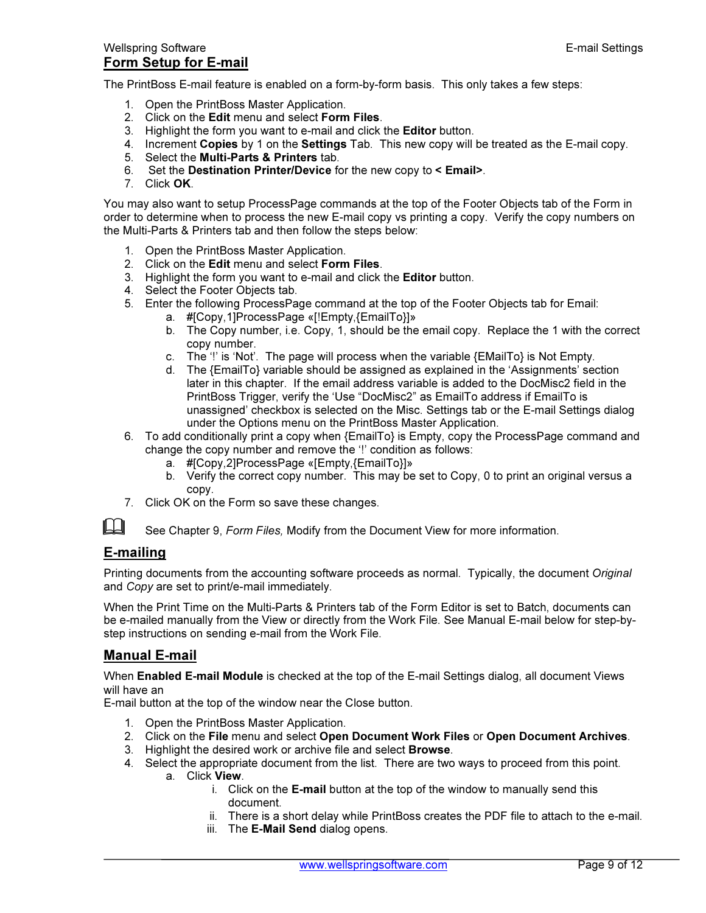The PrintBoss E-mail feature is enabled on a form-by-form basis. This only takes a few steps:

- 1. Open the PrintBoss Master Application.
- 2. Click on the Edit menu and select Form Files.
- 3. Highlight the form you want to e-mail and click the Editor button.
- 4. Increment Copies by 1 on the Settings Tab. This new copy will be treated as the E-mail copy.
- 5. Select the Multi-Parts & Printers tab.
- 6. Set the Destination Printer/Device for the new copy to < Email>.
- 7. Click OK.

You may also want to setup ProcessPage commands at the top of the Footer Objects tab of the Form in order to determine when to process the new E-mail copy vs printing a copy. Verify the copy numbers on the Multi-Parts & Printers tab and then follow the steps below:

- 1. Open the PrintBoss Master Application.
- 2. Click on the Edit menu and select Form Files.
- 3. Highlight the form you want to e-mail and click the Editor button.
- 4. Select the Footer Objects tab.
- 5. Enter the following ProcessPage command at the top of the Footer Objects tab for Email:
	- a. #[Copy,1]ProcessPage «[!Empty,{EmailTo}]»
		- b. The Copy number, i.e. Copy, 1, should be the email copy. Replace the 1 with the correct copy number.
		- c. The  $'$ !' is 'Not'. The page will process when the variable  $\{EMaiT\sigma\}$  is Not Empty.
		- d. The {EmailTo} variable should be assigned as explained in the 'Assignments' section later in this chapter. If the email address variable is added to the DocMisc2 field in the PrintBoss Trigger, verify the 'Use "DocMisc2" as EmailTo address if EmailTo is unassigned' checkbox is selected on the Misc. Settings tab or the E-mail Settings dialog under the Options menu on the PrintBoss Master Application.
- 6. To add conditionally print a copy when {EmailTo} is Empty, copy the ProcessPage command and change the copy number and remove the '!' condition as follows:
	- a. #[Copy,2]ProcessPage «[Empty,{EmailTo}]»
	- b. Verify the correct copy number. This may be set to Copy, 0 to print an original versus a copy.
- 7. Click OK on the Form so save these changes.

See Chapter 9, Form Files, Modify from the Document View for more information.

### E-mailing

Printing documents from the accounting software proceeds as normal. Typically, the document Original and Copy are set to print/e-mail immediately.

When the Print Time on the Multi-Parts & Printers tab of the Form Editor is set to Batch, documents can be e-mailed manually from the View or directly from the Work File. See Manual E-mail below for step-bystep instructions on sending e-mail from the Work File.

### Manual E-mail

When **Enabled E-mail Module** is checked at the top of the E-mail Settings dialog, all document Views will have an

E-mail button at the top of the window near the Close button.

- 1. Open the PrintBoss Master Application.
- 2. Click on the File menu and select Open Document Work Files or Open Document Archives.
- 3. Highlight the desired work or archive file and select Browse.
- 4. Select the appropriate document from the list. There are two ways to proceed from this point.
	- a. Click View.
		- i. Click on the E-mail button at the top of the window to manually send this document.
		- ii. There is a short delay while PrintBoss creates the PDF file to attach to the e-mail.
		- iii. The **E-Mail Send** dialog opens.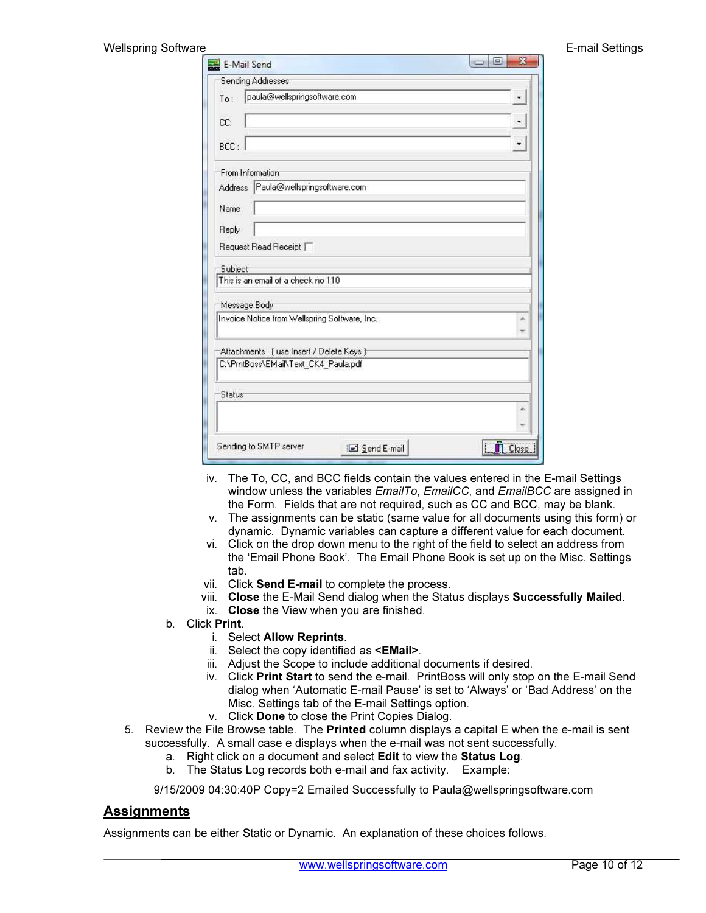| E-Mail Send                                   |       |
|-----------------------------------------------|-------|
| Sending Addresses                             |       |
| paula@wellspringsoftware.com<br>To:           |       |
| CC:                                           |       |
| BCC:                                          |       |
| From Information                              |       |
| Paula@wellspringsoftware.com<br>Address       |       |
| Name                                          |       |
| Reply                                         |       |
| Request Read Receipt                          |       |
| Subject                                       |       |
| This is an email of a check no 110            |       |
| Message Body                                  |       |
| Invoice Notice from Wellspring Software, Inc. |       |
| Attachments [use Insert / Delete Keys ]       |       |
| C:\PmtBoss\EMail\Text_CK4_Paula.pdf           |       |
| Status                                        |       |
|                                               |       |
| Sending to SMTP server                        | Close |

- iv. The To, CC, and BCC fields contain the values entered in the E-mail Settings window unless the variables *EmailTo, EmailCC*, and *EmailBCC* are assigned in the Form. Fields that are not required, such as CC and BCC, may be blank.
- v. The assignments can be static (same value for all documents using this form) or dynamic. Dynamic variables can capture a different value for each document.
- vi. Click on the drop down menu to the right of the field to select an address from the 'Email Phone Book'. The Email Phone Book is set up on the Misc. Settings tab.
- vii. Click Send E-mail to complete the process.
- viii. Close the E-Mail Send dialog when the Status displays Successfully Mailed.
- ix. Close the View when you are finished.
- b. Click Print.

#### i. Select Allow Reprints.

- ii. Select the copy identified as <EMail>.
- iii. Adjust the Scope to include additional documents if desired.
- iv. Click Print Start to send the e-mail. PrintBoss will only stop on the E-mail Send dialog when 'Automatic E-mail Pause' is set to 'Always' or 'Bad Address' on the Misc. Settings tab of the E-mail Settings option.
- v. Click Done to close the Print Copies Dialog.
- 5. Review the File Browse table. The Printed column displays a capital E when the e-mail is sent successfully. A small case e displays when the e-mail was not sent successfully.
	- a. Right click on a document and select Edit to view the Status Log.
	- b. The Status Log records both e-mail and fax activity. Example:

9/15/2009 04:30:40P Copy=2 Emailed Successfully to Paula@wellspringsoftware.com

## **Assignments**

Assignments can be either Static or Dynamic. An explanation of these choices follows.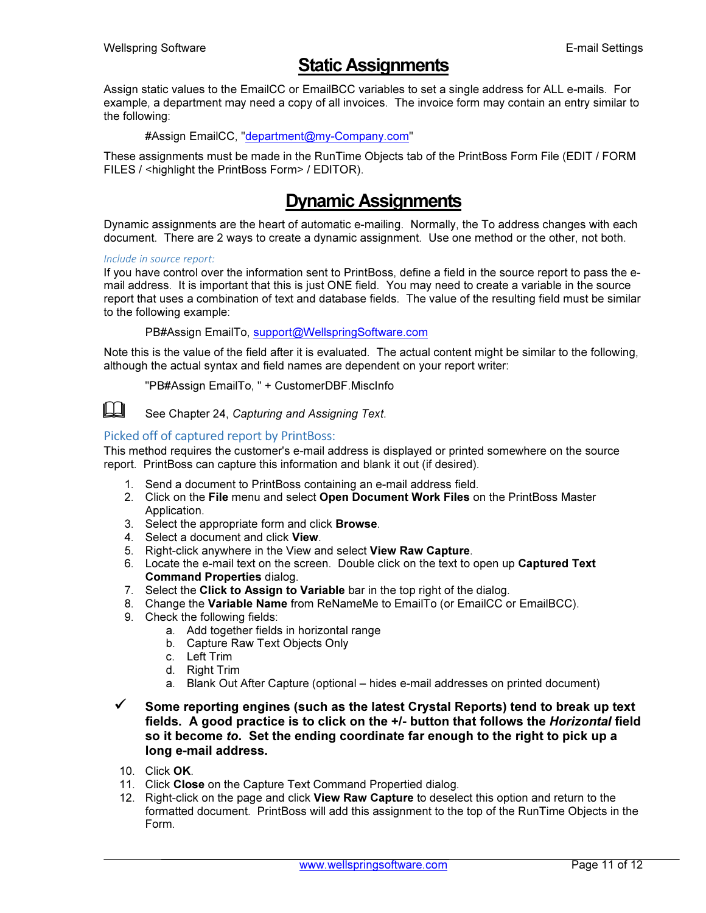# Static Assignments

Assign static values to the EmailCC or EmailBCC variables to set a single address for ALL e-mails. For example, a department may need a copy of all invoices. The invoice form may contain an entry similar to the following:

#### #Assign EmailCC, "department@my-Company.com"

These assignments must be made in the RunTime Objects tab of the PrintBoss Form File (EDIT / FORM FILES / <highlight the PrintBoss Form> / EDITOR).

# Dynamic Assignments

Dynamic assignments are the heart of automatic e-mailing. Normally, the To address changes with each document. There are 2 ways to create a dynamic assignment. Use one method or the other, not both.

#### Include in source report:

If you have control over the information sent to PrintBoss, define a field in the source report to pass the email address. It is important that this is just ONE field. You may need to create a variable in the source report that uses a combination of text and database fields. The value of the resulting field must be similar to the following example:

PB#Assign EmailTo, support@WellspringSoftware.com

Note this is the value of the field after it is evaluated. The actual content might be similar to the following, although the actual syntax and field names are dependent on your report writer:

"PB#Assign EmailTo, " + CustomerDBF.MiscInfo



 $\Box$  See Chapter 24, Capturing and Assigning Text.

#### Picked off of captured report by PrintBoss:

This method requires the customer's e-mail address is displayed or printed somewhere on the source report. PrintBoss can capture this information and blank it out (if desired).

- 1. Send a document to PrintBoss containing an e-mail address field.
- 2. Click on the File menu and select Open Document Work Files on the PrintBoss Master Application.
- 3. Select the appropriate form and click Browse.
- 4. Select a document and click View.
- 5. Right-click anywhere in the View and select View Raw Capture.
- 6. Locate the e-mail text on the screen. Double click on the text to open up Captured Text Command Properties dialog.
- 7. Select the Click to Assign to Variable bar in the top right of the dialog.
- 8. Change the Variable Name from ReNameMe to EmailTo (or EmailCC or EmailBCC).
- 9. Check the following fields:
	- a. Add together fields in horizontal range
	- b. Capture Raw Text Objects Only
	- c. Left Trim
	- d. Right Trim
	- a. Blank Out After Capture (optional hides e-mail addresses on printed document)
- $\checkmark$  Some reporting engines (such as the latest Crystal Reports) tend to break up text fields. A good practice is to click on the +/- button that follows the Horizontal field so it become to. Set the ending coordinate far enough to the right to pick up a long e-mail address.
- 10. Click OK.
- 11. Click Close on the Capture Text Command Propertied dialog.
- 12. Right-click on the page and click View Raw Capture to deselect this option and return to the formatted document. PrintBoss will add this assignment to the top of the RunTime Objects in the Form.